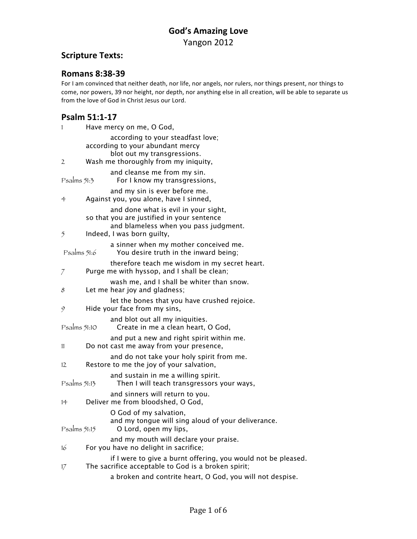### **Scripture Texts:**

#### **Romans 8:38-39**

For I am convinced that neither death, nor life, nor angels, nor rulers, nor things present, nor things to come, nor powers, 39 nor height, nor depth, nor anything else in all creation, will be able to separate us from the love of God in Christ Jesus our Lord.

### **Psalm 51:1-17**

| 1            | Have mercy on me, O God,                                                                                                                                  |
|--------------|-----------------------------------------------------------------------------------------------------------------------------------------------------------|
| 2            | according to your steadfast love;<br>according to your abundant mercy<br>blot out my transgressions.<br>Wash me thoroughly from my iniquity,              |
| Psalms 51:3  | and cleanse me from my sin.<br>For I know my transgressions,                                                                                              |
| 4            | and my sin is ever before me.<br>Against you, you alone, have I sinned,                                                                                   |
| 5            | and done what is evil in your sight,<br>so that you are justified in your sentence<br>and blameless when you pass judgment.<br>Indeed, I was born guilty, |
| Psalms 51:6  | a sinner when my mother conceived me.<br>You desire truth in the inward being;                                                                            |
| 7            | therefore teach me wisdom in my secret heart.<br>Purge me with hyssop, and I shall be clean;                                                              |
| 8            | wash me, and I shall be whiter than snow.<br>Let me hear joy and gladness;                                                                                |
| 9            | let the bones that you have crushed rejoice.<br>Hide your face from my sins,                                                                              |
| Psalms 51:10 | and blot out all my iniquities.<br>Create in me a clean heart, O God,                                                                                     |
| 11           | and put a new and right spirit within me.<br>Do not cast me away from your presence,                                                                      |
| 12           | and do not take your holy spirit from me.<br>Restore to me the joy of your salvation,                                                                     |
| Psalms 51:13 | and sustain in me a willing spirit.<br>Then I will teach transgressors your ways,                                                                         |
| 14           | and sinners will return to you.<br>Deliver me from bloodshed, O God,                                                                                      |
| Psalms 51:15 | O God of my salvation,<br>and my tongue will sing aloud of your deliverance.<br>O Lord, open my lips,                                                     |
| 16           | and my mouth will declare your praise.<br>For you have no delight in sacrifice;                                                                           |
| 17           | if I were to give a burnt offering, you would not be pleased.<br>The sacrifice acceptable to God is a broken spirit;                                      |
|              | a broken and contrite heart, O God, you will not despise.                                                                                                 |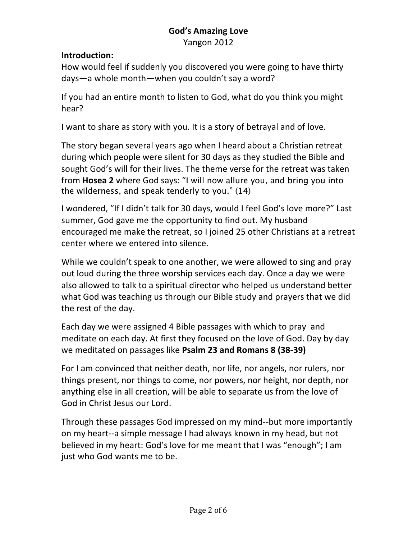### **God's Amazing Love** Yangon 2012

### **Introduction:**

How would feel if suddenly you discovered you were going to have thirty days—a whole month—when you couldn't say a word?

If you had an entire month to listen to God, what do you think you might hear?

I want to share as story with you. It is a story of betrayal and of love.

The story began several years ago when I heard about a Christian retreat during which people were silent for 30 days as they studied the Bible and sought God's will for their lives. The theme verse for the retreat was taken from **Hosea 2** where God says: "I will now allure you, and bring you into the wilderness, and speak tenderly to you." (14)

I wondered, "If I didn't talk for 30 days, would I feel God's love more?" Last summer, God gave me the opportunity to find out. My husband encouraged me make the retreat, so I joined 25 other Christians at a retreat center where we entered into silence.

While we couldn't speak to one another, we were allowed to sing and pray out loud during the three worship services each day. Once a day we were also allowed to talk to a spiritual director who helped us understand better what God was teaching us through our Bible study and prayers that we did the rest of the day.

Each day we were assigned 4 Bible passages with which to pray and meditate on each day. At first they focused on the love of God. Day by day we meditated on passages like Psalm 23 and Romans 8 (38-39)

For I am convinced that neither death, nor life, nor angels, nor rulers, nor things present, nor things to come, nor powers, nor height, nor depth, nor anything else in all creation, will be able to separate us from the love of God in Christ Jesus our Lord.

Through these passages God impressed on my mind--but more importantly on my heart--a simple message I had always known in my head, but not believed in my heart: God's love for me meant that I was "enough"; I am just who God wants me to be.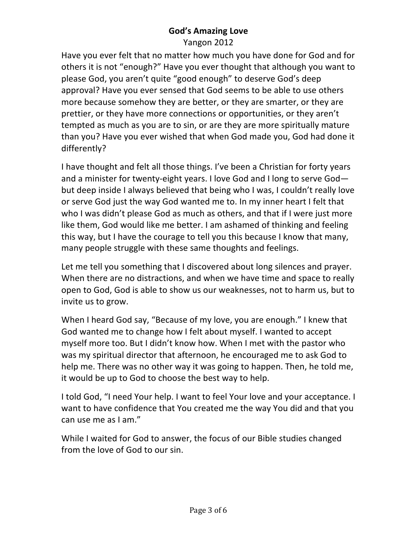# **God's Amazing Love**

Yangon 2012

Have you ever felt that no matter how much you have done for God and for others it is not "enough?" Have you ever thought that although you want to please God, you aren't quite "good enough" to deserve God's deep approval? Have you ever sensed that God seems to be able to use others more because somehow they are better, or they are smarter, or they are prettier, or they have more connections or opportunities, or they aren't tempted as much as you are to sin, or are they are more spiritually mature than you? Have you ever wished that when God made you, God had done it differently?

I have thought and felt all those things. I've been a Christian for forty years and a minister for twenty-eight years. I love God and I long to serve  $God$ but deep inside I always believed that being who I was, I couldn't really love or serve God just the way God wanted me to. In my inner heart I felt that who I was didn't please God as much as others, and that if I were just more like them, God would like me better. I am ashamed of thinking and feeling this way, but I have the courage to tell you this because I know that many, many people struggle with these same thoughts and feelings.

Let me tell you something that I discovered about long silences and prayer. When there are no distractions, and when we have time and space to really open to God, God is able to show us our weaknesses, not to harm us, but to invite us to grow.

When I heard God say, "Because of my love, you are enough." I knew that God wanted me to change how I felt about myself. I wanted to accept myself more too. But I didn't know how. When I met with the pastor who was my spiritual director that afternoon, he encouraged me to ask God to help me. There was no other way it was going to happen. Then, he told me, it would be up to God to choose the best way to help.

I told God, "I need Your help. I want to feel Your love and your acceptance. I want to have confidence that You created me the way You did and that you can use me as I am."

While I waited for God to answer, the focus of our Bible studies changed from the love of God to our sin.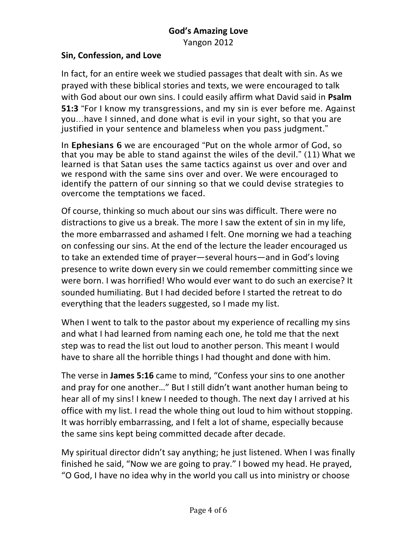Yangon 2012

### **Sin, Confession, and Love**

In fact, for an entire week we studied passages that dealt with sin. As we prayed with these biblical stories and texts, we were encouraged to talk with God about our own sins. I could easily affirm what David said in Psalm **51:3** "For I know my transgressions, and my sin is ever before me. Against you…have I sinned, and done what is evil in your sight, so that you are justified in your sentence and blameless when you pass judgment."

In **Ephesians 6** we are encouraged "Put on the whole armor of God, so that you may be able to stand against the wiles of the devil." (11) What we learned is that Satan uses the same tactics against us over and over and we respond with the same sins over and over. We were encouraged to identify the pattern of our sinning so that we could devise strategies to overcome the temptations we faced.

Of course, thinking so much about our sins was difficult. There were no distractions to give us a break. The more I saw the extent of sin in my life, the more embarrassed and ashamed I felt. One morning we had a teaching on confessing our sins. At the end of the lecture the leader encouraged us to take an extended time of prayer—several hours—and in God's loving presence to write down every sin we could remember committing since we were born. I was horrified! Who would ever want to do such an exercise? It sounded humiliating. But I had decided before I started the retreat to do everything that the leaders suggested, so I made my list.

When I went to talk to the pastor about my experience of recalling my sins and what I had learned from naming each one, he told me that the next step was to read the list out loud to another person. This meant I would have to share all the horrible things I had thought and done with him.

The verse in James 5:16 came to mind, "Confess your sins to one another and pray for one another..." But I still didn't want another human being to hear all of my sins! I knew I needed to though. The next day I arrived at his office with my list. I read the whole thing out loud to him without stopping. It was horribly embarrassing, and I felt a lot of shame, especially because the same sins kept being committed decade after decade.

My spiritual director didn't say anything; he just listened. When I was finally finished he said, "Now we are going to pray." I bowed my head. He prayed, "O God, I have no idea why in the world you call us into ministry or choose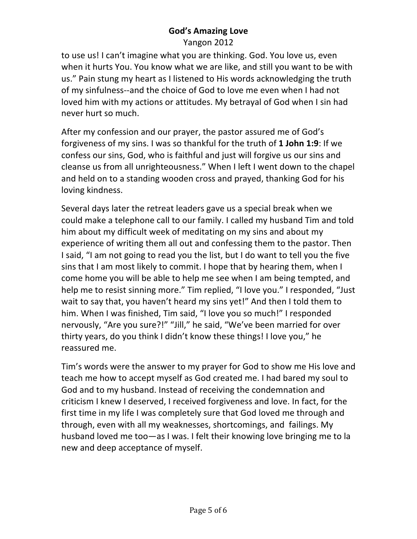### **God's Amazing Love** Yangon 2012

to use us! I can't imagine what you are thinking. God. You love us, even when it hurts You. You know what we are like, and still you want to be with us." Pain stung my heart as I listened to His words acknowledging the truth of my sinfulness--and the choice of God to love me even when I had not loved him with my actions or attitudes. My betrayal of God when I sin had never hurt so much.

After my confession and our prayer, the pastor assured me of God's forgiveness of my sins. I was so thankful for the truth of 1 John 1:9: If we confess our sins, God, who is faithful and just will forgive us our sins and cleanse us from all unrighteousness." When I left I went down to the chapel and held on to a standing wooden cross and prayed, thanking God for his loving kindness.

Several days later the retreat leaders gave us a special break when we could make a telephone call to our family. I called my husband Tim and told him about my difficult week of meditating on my sins and about my experience of writing them all out and confessing them to the pastor. Then I said, "I am not going to read you the list, but I do want to tell you the five sins that I am most likely to commit. I hope that by hearing them, when I come home you will be able to help me see when I am being tempted, and help me to resist sinning more." Tim replied, "I love you." I responded, "Just wait to say that, you haven't heard my sins yet!" And then I told them to him. When I was finished, Tim said, "I love you so much!" I responded nervously, "Are you sure?!" "Jill," he said, "We've been married for over thirty years, do you think I didn't know these things! I love you," he reassured me.

Tim's words were the answer to my prayer for God to show me His love and teach me how to accept myself as God created me. I had bared my soul to God and to my husband. Instead of receiving the condemnation and criticism I knew I deserved, I received forgiveness and love. In fact, for the first time in my life I was completely sure that God loved me through and through, even with all my weaknesses, shortcomings, and failings. My husband loved me too—as I was. I felt their knowing love bringing me to la new and deep acceptance of myself.